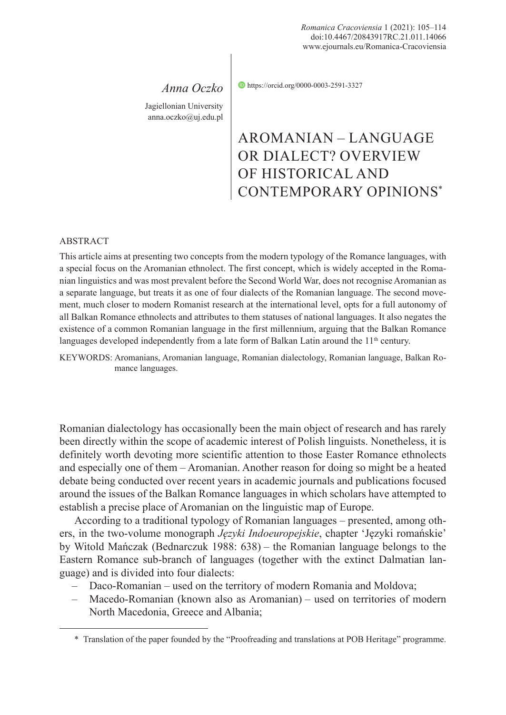*Anna Oczko* Jagiellonian University

anna.oczko@uj.edu.pl

https://orcid.org/0000-0003-2591-3327

## AROMANIAN – LANGUAGE OR DIALECT? OVERVIEW OF HISTORICAL AND CONTEMPORARY OPINIONS\*

## ABSTRACT

This article aims at presenting two concepts from the modern typology of the Romance languages, with a special focus on the Aromanian ethnolect. The first concept, which is widely accepted in the Romanian linguistics and was most prevalent before the Second World War, does not recognise Aromanian as a separate language, but treats it as one of four dialects of the Romanian language. The second movement, much closer to modern Romanist research at the international level, opts for a full autonomy of all Balkan Romance ethnolects and attributes to them statuses of national languages. It also negates the existence of a common Romanian language in the first millennium, arguing that the Balkan Romance languages developed independently from a late form of Balkan Latin around the  $11<sup>th</sup>$  century.

KEYWORDS: Aromanians, Aromanian language, Romanian dialectology, Romanian language, Balkan Romance languages.

Romanian dialectology has occasionally been the main object of research and has rarely been directly within the scope of academic interest of Polish linguists. Nonetheless, it is definitely worth devoting more scientific attention to those Easter Romance ethnolects and especially one of them – Aromanian. Another reason for doing so might be a heated debate being conducted over recent years in academic journals and publications focused around the issues of the Balkan Romance languages in which scholars have attempted to establish a precise place of Aromanian on the linguistic map of Europe.

According to a traditional typology of Romanian languages – presented, among others, in the two-volume monograph *Języki Indoeuropejskie*, chapter 'Języki romańskie' by Witold Mańczak (Bednarczuk 1988: 638) – the Romanian language belongs to the Eastern Romance sub-branch of languages (together with the extinct Dalmatian language) and is divided into four dialects:

- Daco-Romanian used on the territory of modern Romania and Moldova;
- Macedo-Romanian (known also as Aromanian) used on territories of modern North Macedonia, Greece and Albania;

<sup>\*</sup> Translation of the paper founded by the "Proofreading and translations at POB Heritage" programme.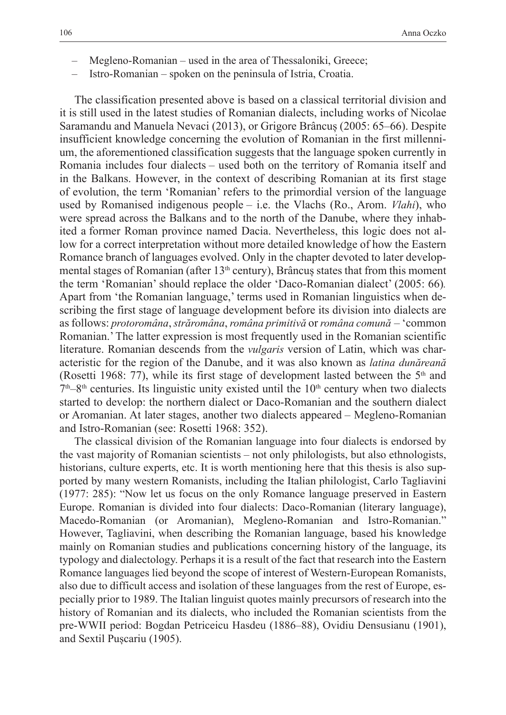- Megleno-Romanian used in the area of Thessaloniki, Greece;
- Istro-Romanian spoken on the peninsula of Istria, Croatia.

The classification presented above is based on a classical territorial division and it is still used in the latest studies of Romanian dialects, including works of Nicolae Saramandu and Manuela Nevaci (2013), or Grigore Brâncuș (2005: 65–66). Despite insufficient knowledge concerning the evolution of Romanian in the first millennium, the aforementioned classification suggests that the language spoken currently in Romania includes four dialects – used both on the territory of Romania itself and in the Balkans. However, in the context of describing Romanian at its first stage of evolution, the term 'Romanian' refers to the primordial version of the language used by Romanised indigenous people – i.e. the Vlachs (Ro., Arom. *Vlahi*), who were spread across the Balkans and to the north of the Danube, where they inhabited a former Roman province named Dacia. Nevertheless, this logic does not allow for a correct interpretation without more detailed knowledge of how the Eastern Romance branch of languages evolved. Only in the chapter devoted to later developmental stages of Romanian (after  $13<sup>th</sup>$  century), Brâncuș states that from this moment the term 'Romanian' should replace the older 'Daco-Romanian dialect' (2005: 66)*.*  Apart from 'the Romanian language,' terms used in Romanian linguistics when describing the first stage of language development before its division into dialects are as follows: *protoromâna*, *străromâna*, *româna primitivă* or *româna comună* – 'common Romanian.' The latter expression is most frequently used in the Romanian scientific literature. Romanian descends from the *vulgaris* version of Latin, which was characteristic for the region of the Danube, and it was also known as *latina dunăreană* (Rosetti 1968: 77), while its first stage of development lasted between the  $5<sup>th</sup>$  and  $7<sup>th</sup>-8<sup>th</sup>$  centuries. Its linguistic unity existed until the  $10<sup>th</sup>$  century when two dialects started to develop: the northern dialect or Daco-Romanian and the southern dialect or Aromanian. At later stages, another two dialects appeared – Megleno-Romanian and Istro-Romanian (see: Rosetti 1968: 352).

The classical division of the Romanian language into four dialects is endorsed by the vast majority of Romanian scientists – not only philologists, but also ethnologists, historians, culture experts, etc. It is worth mentioning here that this thesis is also supported by many western Romanists, including the Italian philologist, Carlo Tagliavini (1977: 285): "Now let us focus on the only Romance language preserved in Eastern Europe. Romanian is divided into four dialects: Daco-Romanian (literary language), Macedo-Romanian (or Aromanian), Megleno-Romanian and Istro-Romanian." However, Tagliavini, when describing the Romanian language, based his knowledge mainly on Romanian studies and publications concerning history of the language, its typology and dialectology. Perhaps it is a result of the fact that research into the Eastern Romance languages lied beyond the scope of interest of Western-European Romanists, also due to difficult access and isolation of these languages from the rest of Europe, especially prior to 1989. The Italian linguist quotes mainly precursors of research into the history of Romanian and its dialects, who included the Romanian scientists from the pre-WWII period: Bogdan Petriceicu Hasdeu (1886–88), Ovidiu Densusianu (1901), and Sextil Pușcariu (1905).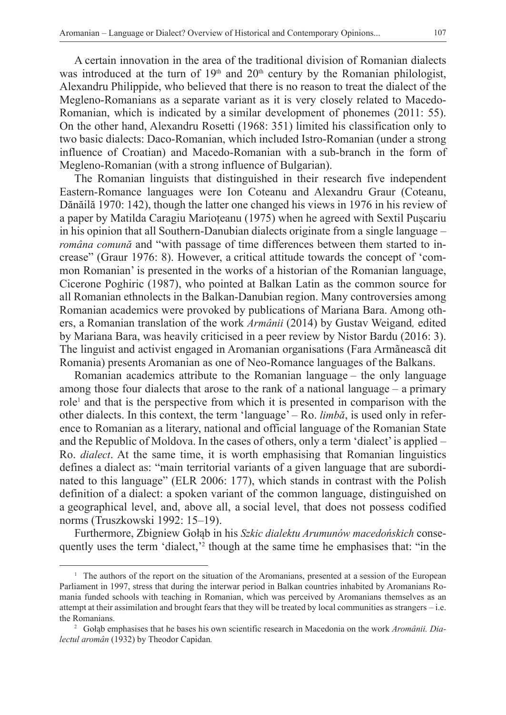A certain innovation in the area of the traditional division of Romanian dialects was introduced at the turn of  $19<sup>th</sup>$  and  $20<sup>th</sup>$  century by the Romanian philologist, Alexandru Philippide, who believed that there is no reason to treat the dialect of the Megleno-Romanians as a separate variant as it is very closely related to Macedo-Romanian, which is indicated by a similar development of phonemes (2011: 55). On the other hand, Alexandru Rosetti (1968: 351) limited his classification only to two basic dialects: Daco-Romanian, which included Istro-Romanian (under a strong influence of Croatian) and Macedo-Romanian with a sub-branch in the form of Megleno-Romanian (with a strong influence of Bulgarian).

The Romanian linguists that distinguished in their research five independent Eastern-Romance languages were Ion Coteanu and Alexandru Graur (Coteanu, Dănăilă 1970: 142), though the latter one changed his views in 1976 in his review of a paper by Matilda Caragiu Marioțeanu (1975) when he agreed with Sextil Pușcariu in his opinion that all Southern-Danubian dialects originate from a single language – *româna comună* and "with passage of time differences between them started to increase" (Graur 1976: 8). However, a critical attitude towards the concept of 'common Romanian' is presented in the works of a historian of the Romanian language, Cicerone Poghiric (1987), who pointed at Balkan Latin as the common source for all Romanian ethnolects in the Balkan-Danubian region. Many controversies among Romanian academics were provoked by publications of Mariana Bara. Among others, a Romanian translation of the work *Armânii* (2014) by Gustav Weigand*,* edited by Mariana Bara, was heavily criticised in a peer review by Nistor Bardu (2016: 3). The linguist and activist engaged in Aromanian organisations (Fara Armãneascã dit Romania) presents Aromanian as one of Neo-Romance languages of the Balkans.

Romanian academics attribute to the Romanian language – the only language among those four dialects that arose to the rank of a national language – a primary role<sup>1</sup> and that is the perspective from which it is presented in comparison with the other dialects. In this context, the term 'language' – Ro. *limbă*, is used only in reference to Romanian as a literary, national and official language of the Romanian State and the Republic of Moldova. In the cases of others, only a term 'dialect' is applied – Ro. *dialect*. At the same time, it is worth emphasising that Romanian linguistics defines a dialect as: "main territorial variants of a given language that are subordinated to this language" (ELR 2006: 177), which stands in contrast with the Polish definition of a dialect: a spoken variant of the common language, distinguished on a geographical level, and, above all, a social level, that does not possess codified norms (Truszkowski 1992: 15–19).

Furthermore, Zbigniew Gołąb in his *Szkic dialektu Arumunów macedońskich* consequently uses the term 'dialect,'<sup>2</sup> though at the same time he emphasises that: "in the

<sup>1</sup> The authors of the report on the situation of the Aromanians, presented at a session of the European Parliament in 1997, stress that during the interwar period in Balkan countries inhabited by Aromanians Romania funded schools with teaching in Romanian, which was perceived by Aromanians themselves as an attempt at their assimilation and brought fears that they will be treated by local communities as strangers – i.e. the Romanians.

<sup>2</sup> Gołąb emphasises that he bases his own scientific research in Macedonia on the work *Aromânii. Dialectul aromân* (1932) by Theodor Capidan*.*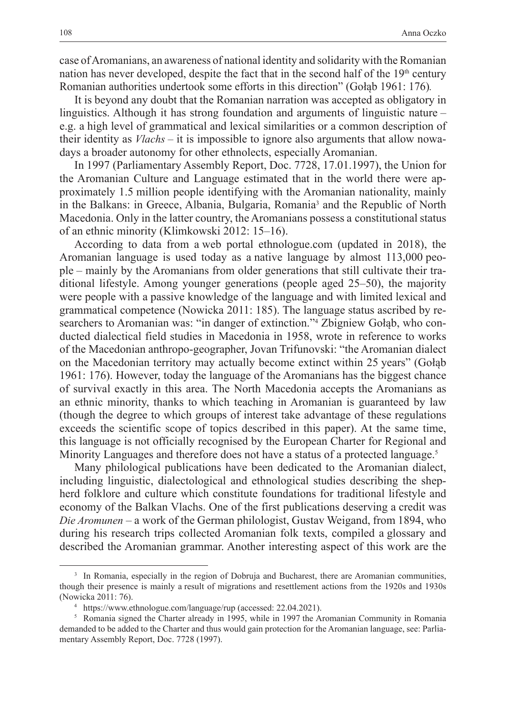case of Aromanians, an awareness of national identity and solidarity with the Romanian nation has never developed, despite the fact that in the second half of the 19<sup>th</sup> century Romanian authorities undertook some efforts in this direction" (Gołąb 1961: 176)*.*

It is beyond any doubt that the Romanian narration was accepted as obligatory in linguistics. Although it has strong foundation and arguments of linguistic nature – e.g. a high level of grammatical and lexical similarities or a common description of their identity as *Vlachs –* it is impossible to ignore also arguments that allow nowadays a broader autonomy for other ethnolects, especially Aromanian.

In 1997 (Parliamentary Assembly Report, Doc. 7728, 17.01.1997), the Union for the Aromanian Culture and Language estimated that in the world there were approximately 1.5 million people identifying with the Aromanian nationality, mainly in the Balkans: in Greece, Albania, Bulgaria, Romania<sup>3</sup> and the Republic of North Macedonia. Only in the latter country, the Aromanians possess a constitutional status of an ethnic minority (Klimkowski 2012: 15–16).

According to data from a web portal ethnologue.com (updated in 2018), the Aromanian language is used today as a native language by almost 113,000 people – mainly by the Aromanians from older generations that still cultivate their traditional lifestyle. Among younger generations (people aged 25–50), the majority were people with a passive knowledge of the language and with limited lexical and grammatical competence (Nowicka 2011: 185). The language status ascribed by researchers to Aromanian was: "in danger of extinction."4 Zbigniew Gołąb, who conducted dialectical field studies in Macedonia in 1958, wrote in reference to works of the Macedonian anthropo-geographer, Jovan Trifunovski: "the Aromanian dialect on the Macedonian territory may actually become extinct within 25 years" (Gołąb 1961: 176). However, today the language of the Aromanians has the biggest chance of survival exactly in this area. The North Macedonia accepts the Aromanians as an ethnic minority, thanks to which teaching in Aromanian is guaranteed by law (though the degree to which groups of interest take advantage of these regulations exceeds the scientific scope of topics described in this paper). At the same time, this language is not officially recognised by the European Charter for Regional and Minority Languages and therefore does not have a status of a protected language.<sup>5</sup>

Many philological publications have been dedicated to the Aromanian dialect, including linguistic, dialectological and ethnological studies describing the shepherd folklore and culture which constitute foundations for traditional lifestyle and economy of the Balkan Vlachs. One of the first publications deserving a credit was *Die Aromunen* – a work of the German philologist, Gustav Weigand, from 1894, who during his research trips collected Aromanian folk texts, compiled a glossary and described the Aromanian grammar. Another interesting aspect of this work are the

<sup>&</sup>lt;sup>3</sup> In Romania, especially in the region of Dobruja and Bucharest, there are Aromanian communities, though their presence is mainly a result of migrations and resettlement actions from the 1920s and 1930s (Nowicka 2011: 76).

<sup>4</sup> https://www.ethnologue.com/language/rup (accessed: 22.04.2021).

<sup>&</sup>lt;sup>5</sup> Romania signed the Charter already in 1995, while in 1997 the Aromanian Community in Romania demanded to be added to the Charter and thus would gain protection for the Aromanian language, see: Parliamentary Assembly Report, Doc. 7728 (1997).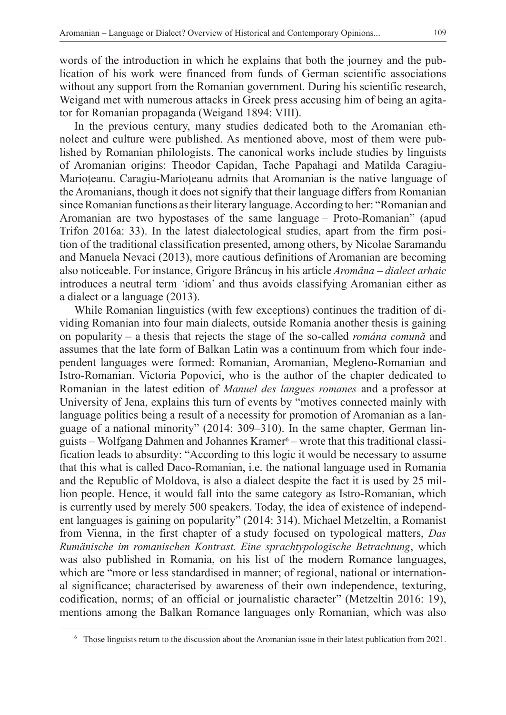words of the introduction in which he explains that both the journey and the publication of his work were financed from funds of German scientific associations without any support from the Romanian government. During his scientific research, Weigand met with numerous attacks in Greek press accusing him of being an agitator for Romanian propaganda (Weigand 1894: VIII).

In the previous century, many studies dedicated both to the Aromanian ethnolect and culture were published. As mentioned above, most of them were published by Romanian philologists. The canonical works include studies by linguists of Aromanian origins: Theodor Capidan, Tache Papahagi and Matilda Caragiu-Marioțeanu. Caragiu-Marioțeanu admits that Aromanian is the native language of the Aromanians, though it does not signify that their language differs from Romanian since Romanian functions as their literary language. According to her: "Romanian and Aromanian are two hypostases of the same language – Proto-Romanian" (apud Trifon 2016a: 33). In the latest dialectological studies, apart from the firm position of the traditional classification presented, among others, by Nicolae Saramandu and Manuela Nevaci (2013), more cautious definitions of Aromanian are becoming also noticeable. For instance, Grigore Brâncuș in his article *Aromâna – dialect arhaic* introduces a neutral term *'*idiom' and thus avoids classifying Aromanian either as a dialect or a language (2013).

While Romanian linguistics (with few exceptions) continues the tradition of dividing Romanian into four main dialects, outside Romania another thesis is gaining on popularity – a thesis that rejects the stage of the so-called *româna comună* and assumes that the late form of Balkan Latin was a continuum from which four independent languages were formed: Romanian, Aromanian, Megleno-Romanian and Istro-Romanian. Victoria Popovici, who is the author of the chapter dedicated to Romanian in the latest edition of *Manuel des langues romanes* and a professor at University of Jena, explains this turn of events by "motives connected mainly with language politics being a result of a necessity for promotion of Aromanian as a language of a national minority" (2014: 309–310). In the same chapter, German linguists – Wolfgang Dahmen and Johannes Kramer<sup>6</sup> – wrote that this traditional classification leads to absurdity: "According to this logic it would be necessary to assume that this what is called Daco-Romanian, i.e. the national language used in Romania and the Republic of Moldova, is also a dialect despite the fact it is used by 25 million people. Hence, it would fall into the same category as Istro-Romanian, which is currently used by merely 500 speakers. Today, the idea of existence of independent languages is gaining on popularity" (2014: 314). Michael Metzeltin, a Romanist from Vienna, in the first chapter of a study focused on typological matters, *Das Rumänische im romanischen Kontrast. Eine sprachtypologische Betrachtung*, which was also published in Romania, on his list of the modern Romance languages, which are "more or less standardised in manner; of regional, national or international significance; characterised by awareness of their own independence, texturing, codification, norms; of an official or journalistic character" (Metzeltin 2016: 19), mentions among the Balkan Romance languages only Romanian, which was also

<sup>6</sup> Those linguists return to the discussion about the Aromanian issue in their latest publication from 2021.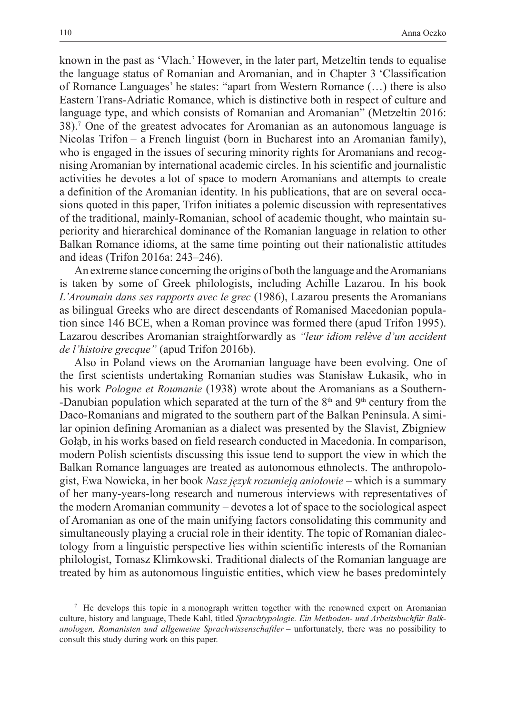known in the past as 'Vlach.' However, in the later part, Metzeltin tends to equalise the language status of Romanian and Aromanian, and in Chapter 3 'Classification of Romance Languages' he states: "apart from Western Romance (…) there is also Eastern Trans-Adriatic Romance, which is distinctive both in respect of culture and language type, and which consists of Romanian and Aromanian" (Metzeltin 2016: 38).7 One of the greatest advocates for Aromanian as an autonomous language is Nicolas Trifon – a French linguist (born in Bucharest into an Aromanian family), who is engaged in the issues of securing minority rights for Aromanians and recognising Aromanian by international academic circles. In his scientific and journalistic activities he devotes a lot of space to modern Aromanians and attempts to create a definition of the Aromanian identity. In his publications, that are on several occasions quoted in this paper, Trifon initiates a polemic discussion with representatives of the traditional, mainly-Romanian, school of academic thought, who maintain superiority and hierarchical dominance of the Romanian language in relation to other Balkan Romance idioms, at the same time pointing out their nationalistic attitudes and ideas (Trifon 2016a: 243–246).

An extreme stance concerning the origins of both the language and the Aromanians is taken by some of Greek philologists, including Achille Lazarou. In his book *L'Aroumain dans ses rapports avec le grec* (1986), Lazarou presents the Aromanians as bilingual Greeks who are direct descendants of Romanised Macedonian population since 146 BCE, when a Roman province was formed there (apud Trifon 1995). Lazarou describes Aromanian straightforwardly as *"leur idiom relève d'un accident de l'histoire grecque"* (apud Trifon 2016b).

Also in Poland views on the Aromanian language have been evolving. One of the first scientists undertaking Romanian studies was Stanisław Łukasik, who in his work *Pologne et Roumanie* (1938) wrote about the Aromanians as a Southern- -Danubian population which separated at the turn of the  $8<sup>th</sup>$  and  $9<sup>th</sup>$  century from the Daco-Romanians and migrated to the southern part of the Balkan Peninsula. A similar opinion defining Aromanian as a dialect was presented by the Slavist, Zbigniew Gołąb, in his works based on field research conducted in Macedonia. In comparison, modern Polish scientists discussing this issue tend to support the view in which the Balkan Romance languages are treated as autonomous ethnolects. The anthropologist, Ewa Nowicka, in her book *Nasz język rozumieją aniołowie* – which is a summary of her many-years-long research and numerous interviews with representatives of the modern Aromanian community – devotes a lot of space to the sociological aspect of Aromanian as one of the main unifying factors consolidating this community and simultaneously playing a crucial role in their identity. The topic of Romanian dialectology from a linguistic perspective lies within scientific interests of the Romanian philologist, Tomasz Klimkowski. Traditional dialects of the Romanian language are treated by him as autonomous linguistic entities, which view he bases predomintely

<sup>7</sup> He develops this topic in a monograph written together with the renowned expert on Aromanian culture, history and language, Thede Kahl, titled *Sprachtypologie. Ein Methoden- und Arbeitsbuchfür Balkanologen, Romanisten und allgemeine Sprachwissenschaftler* – unfortunately, there was no possibility to consult this study during work on this paper.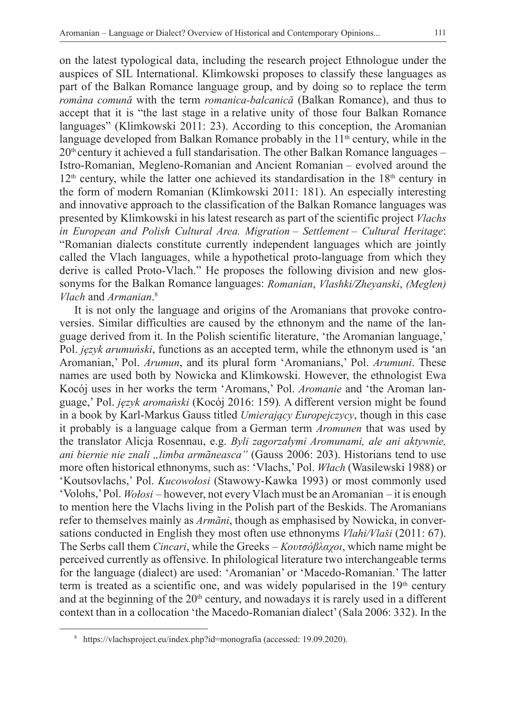on the latest typological data, including the research project Ethnologue under the auspices of SIL International. Klimkowski proposes to classify these languages as part of the Balkan Romance language group, and by doing so to replace the term *româna comună* with the term *romanica-balcanică* (Balkan Romance), and thus to accept that it is "the last stage in a relative unity of those four Balkan Romance languages" (Klimkowski 2011: 23). According to this conception, the Aromanian language developed from Balkan Romance probably in the  $11<sup>th</sup>$  century, while in the  $20<sup>th</sup>$  century it achieved a full standarisation. The other Balkan Romance languages – Istro-Romanian, Megleno-Romanian and Ancient Romanian – evolved around the  $12<sup>th</sup>$  century, while the latter one achieved its standardisation in the  $18<sup>th</sup>$  century in the form of modern Romanian (Klimkowski 2011: 181). An especially interesting and innovative approach to the classification of the Balkan Romance languages was presented by Klimkowski in his latest research as part of the scientific project *Vlachs in European and Polish Cultural Area. Migration ‒ Settlement ‒ Cultural Heritage*: "Romanian dialects constitute currently independent languages which are jointly called the Vlach languages, while a hypothetical proto-language from which they derive is called Proto-Vlach." He proposes the following division and new glossonyms for the Balkan Romance languages: *Romanian*, *Vlashki/Zheyanski*, *(Meglen) Vlach* and *Armanian*. 8

It is not only the language and origins of the Aromanians that provoke controversies. Similar difficulties are caused by the ethnonym and the name of the language derived from it. In the Polish scientific literature, 'the Aromanian language,' Pol. *język arumuński*, functions as an accepted term, while the ethnonym used is 'an Aromanian,' Pol. *Arumun*, and its plural form 'Aromanians,' Pol. *Arumuni*. These names are used both by Nowicka and Klimkowski. However, the ethnologist Ewa Kocój uses in her works the term 'Aromans,' Pol. *Aromanie* and 'the Aroman language,' Pol. *język aromański* (Kocój 2016: 159)*.* A different version might be found in a book by Karl-Markus Gauss titled *Umierający Europejczycy*, though in this case it probably is a language calque from a German term *Aromunen* that was used by the translator Alicja Rosennau, e.g. *Byli zagorzałymi Aromunami, ale ani aktywnie, ani biernie nie znali "limba armãneasca"* (Gauss 2006: 203). Historians tend to use more often historical ethnonyms, such as: 'Vlachs,' Pol. *Włach* (Wasilewski 1988) or 'Koutsovlachs,' Pol. *Kucowołosi* (Stawowy-Kawka 1993) or most commonly used 'Volohs,' Pol. *Wołosi* – however, not every Vlach must be an Aromanian – it is enough to mention here the Vlachs living in the Polish part of the Beskids. The Aromanians refer to themselves mainly as *Armãni*, though as emphasised by Nowicka, in conversations conducted in English they most often use ethnonyms *Vlahi/Vlaši* (2011: 67). The Serbs call them *Cincari*, while the Greeks – *Κουτσόβλαχοι*, which name might be perceived currently as offensive. In philological literature two interchangeable terms for the language (dialect) are used: 'Aromanian' or 'Macedo-Romanian.' The latter term is treated as a scientific one, and was widely popularised in the  $19<sup>th</sup>$  century and at the beginning of the 20<sup>th</sup> century, and nowadays it is rarely used in a different context than in a collocation 'the Macedo-Romanian dialect' (Sala 2006: 332). In the

<sup>8</sup> https://vlachsproject.eu/index.php?id=monografia (accessed: 19.09.2020).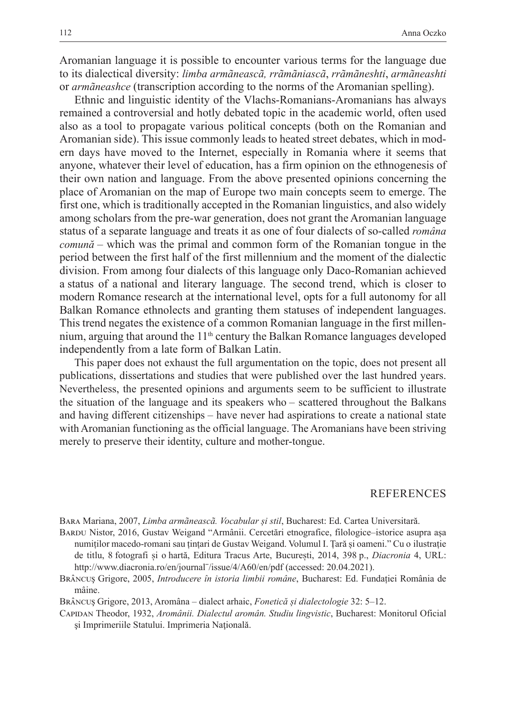Aromanian language it is possible to encounter various terms for the language due to its dialectical diversity: *limba armãneascã, rrãmãniascã*, *rrãmãneshti*, *armãneashti*  or *armãneashce* (transcription according to the norms of the Aromanian spelling).

Ethnic and linguistic identity of the Vlachs-Romanians-Aromanians has always remained a controversial and hotly debated topic in the academic world, often used also as a tool to propagate various political concepts (both on the Romanian and Aromanian side). This issue commonly leads to heated street debates, which in modern days have moved to the Internet, especially in Romania where it seems that anyone, whatever their level of education, has a firm opinion on the ethnogenesis of their own nation and language. From the above presented opinions concerning the place of Aromanian on the map of Europe two main concepts seem to emerge. The first one, which is traditionally accepted in the Romanian linguistics, and also widely among scholars from the pre-war generation, does not grant the Aromanian language status of a separate language and treats it as one of four dialects of so-called *româna comună* – which was the primal and common form of the Romanian tongue in the period between the first half of the first millennium and the moment of the dialectic division. From among four dialects of this language only Daco-Romanian achieved a status of a national and literary language. The second trend, which is closer to modern Romance research at the international level, opts for a full autonomy for all Balkan Romance ethnolects and granting them statuses of independent languages. This trend negates the existence of a common Romanian language in the first millennium, arguing that around the 11<sup>th</sup> century the Balkan Romance languages developed independently from a late form of Balkan Latin.

This paper does not exhaust the full argumentation on the topic, does not present all publications, dissertations and studies that were published over the last hundred years. Nevertheless, the presented opinions and arguments seem to be sufficient to illustrate the situation of the language and its speakers who – scattered throughout the Balkans and having different citizenships – have never had aspirations to create a national state with Aromanian functioning as the official language. The Aromanians have been striving merely to preserve their identity, culture and mother-tongue.

## REFERENCES

Bara Mariana, 2007, *Limba armãneascã. Vocabular și stil*, Bucharest: Ed. Cartea Universitară.

- Bardu Nistor, 2016, Gustav Weigand "Armânii. Cercetări etnografice, filologice–istorice asupra așa numiților macedo-romani sau țințari de Gustav Weigand. Volumul I. Țară și oameni." Cu o ilustrație de titlu, 8 fotografi și o hartă, Editura Tracus Arte, București, 2014, 398 p., *Diacronia* 4, URL: http://www.diacronia.ro/en/journal¨/issue/4/A60/en/pdf (accessed: 20.04.2021).
- Brâncuș Grigore, 2005, *Introducere în istoria limbii române*, Bucharest: Ed. Fundației România de mâine.

Brâncuș Grigore, 2013, Aromâna – dialect arhaic, *Fonetică și dialectologie* 32: 5–12.

Capidan Theodor, 1932, *Aromânii. Dialectul aromân. Studiu lingvistic*, Bucharest: Monitorul Oficial şi Imprimeriile Statului. Imprimeria Naţională.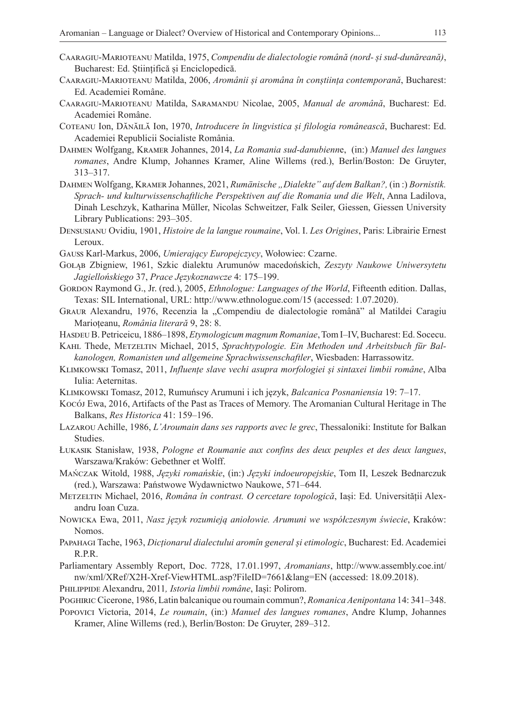- Caaragiu-Marioteanu Matilda, 1975, *Compendiu de dialectologie română (nord- și sud-dunăreană)*, Bucharest: Ed. Științifică și Enciclopedică.
- Caaragiu-Marioteanu Matilda, 2006, *Aromânii și aromâna în conștiința contemporană*, Bucharest: Ed. Academiei Române.
- Caaragiu-Marioteanu Matilda, Saramandu Nicolae, 2005, *Manual de aromână*, Bucharest: Ed. Academiei Române.
- Coteanu Ion, Dănăilă Ion, 1970, *Introducere în lingvistica și filologia românească*, Bucharest: Ed. Academiei Republicii Socialiste România.
- Dahmen Wolfgang, Kramer Johannes, 2014, *La Romania sud-danubienn*e, (in:) *Manuel des langues romanes*, Andre Klump, Johannes Kramer, Aline Willems (red.), Berlin/Boston: De Gruyter, 313–317.
- Dahmen Wolfgang, Kramer Johannes, 2021, *Rumänische "Dialekte" auf dem Balkan?,* (in :) *Bornistik. Sprach- und kulturwissenschaftliche Perspektiven auf die Romania und die Welt*, Anna Ladilova, Dinah Leschzyk, Katharina Müller, Nicolas Schweitzer, Falk Seiler, Giessen, Giessen University Library Publications: 293–305.
- Densusianu Ovidiu, 1901, *Histoire de la langue roumaine*, Vol. I. *Les Origines*, Paris: Librairie Ernest Leroux.
- Gauss Karl-Markus, 2006, *Umierający Europejczycy*, Wołowiec: Czarne.
- Gołąb Zbigniew, 1961, Szkic dialektu Arumunów macedońskich, *Zeszyty Naukowe Uniwersytetu Jagiellońskiego* 37, *Prace Językoznawcze* 4: 175–199.
- GORDON Raymond G., Jr. (red.), 2005, *Ethnologue: Languages of the World*, Fifteenth edition. Dallas, Texas: SIL International, URL: http://www.ethnologue.com/15 (accessed: 1.07.2020).
- GRAUR Alexandru, 1976, Recenzia la "Compendiu de dialectologie română" al Matildei Caragiu Marioțeanu, *România literară* 9, 28: 8.
- Hasdeu B. Petriceicu, 1886–1898, *Etymologicum magnum Romaniae*, Tom I–IV, Bucharest: Ed. Socecu.
- Kahl Thede, Metzeltin Michael, 2015, *Sprachtypologie. Ein Methoden und Arbeitsbuch für Balkanologen, Romanisten und allgemeine Sprachwissenschaftler*, Wiesbaden: Harrassowitz.
- Klimkowski Tomasz, 2011, *Influențe slave vechi asupra morfologiei și sintaxei limbii române*, Alba Iulia: Aeternitas.
- Klimkowski Tomasz, 2012, Rumuńscy Arumuni i ich język, *Balcanica Posnaniensia* 19: 7–17.
- Kocój Ewa, 2016, Artifacts of the Past as Traces of Memory. The Aromanian Cultural Heritage in The Balkans, *Res Historica* 41: 159–196.
- Lazarou Achille, 1986, *L'Aroumain dans ses rapports avec le grec*, Thessaloniki: Institute for Balkan Studies.
- Łukasik Stanisław, 1938, *Pologne et Roumanie aux confins des deux peuples et des deux langues*, Warszawa/Kraków: Gebethner et Wolff.
- Mańczak Witold, 1988, *Języki romańskie*, (in:) *Języki indoeuropejskie*, Tom II, Leszek Bednarczuk (red.), Warszawa: Państwowe Wydawnictwo Naukowe, 571–644.
- Metzeltin Michael, 2016, *Româna în contrast. O cercetare topologică*, Iași: Ed. Universității Alexandru Ioan Cuza.
- Nowicka Ewa, 2011, *Nasz język rozumieją aniołowie. Arumuni we współczesnym świecie*, Kraków: Nomos.
- Papahagi Tache, 1963, *Dicționarul dialectului aromîn general și etimologic*, Bucharest: Ed. Academiei R.P.R.
- Parliamentary Assembly Report, Doc. 7728, 17.01.1997, *Aromanians*, http://www.assembly.coe.int/ nw/xml/XRef/X2H-Xref-ViewHTML.asp?FileID=7661&lang=EN (accessed: 18.09.2018).
- Philippide Alexandru, 2011*, Istoria limbii române*, Iași: Polirom.
- Poghiric Cicerone, 1986, Latin balcanique ou roumain commun?, *Romanica Aenipontana* 14: 341–348.
- Popovici Victoria, 2014, *Le roumain*, (in:) *Manuel des langues romanes*, Andre Klump, Johannes Kramer, Aline Willems (red.), Berlin/Boston: De Gruyter, 289–312.